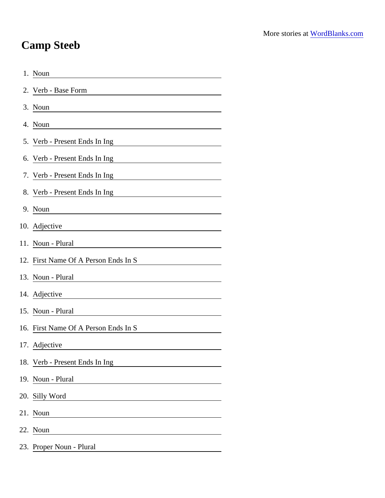## Camp Steeb

| 1. Noun                                                                |
|------------------------------------------------------------------------|
| 2. Verb - Base Form                                                    |
| 3. Noun                                                                |
| 4. Noun                                                                |
| 5. Verb - Present Ends In Ing                                          |
| 6. Verb - Present Ends In Ing                                          |
| 7. Verb - Present Ends In Ing                                          |
| 8. Verb - Present Ends In Ing                                          |
| 9. Noun                                                                |
| 10. Adjective                                                          |
| 11. Noun - Plural                                                      |
| 12. First Name Of A Person Ends In S                                   |
| 13. Noun - Plural                                                      |
| 14. Adjective<br><u> 1989 - Johann Barbara, martxa alemaniar a</u>     |
| 15. Noun - Plural                                                      |
| 16. First Name Of A Person Ends In S                                   |
| 17. Adjective                                                          |
| 18. Verb - Present Ends In Ing                                         |
| 19. Noun - Plural<br><u> 1990 - Jan Barbara Barat, prima politik (</u> |
| 20. Silly Word                                                         |
| 21. Noun                                                               |
| 22. Noun                                                               |
| 23. Proper Noun - Plural                                               |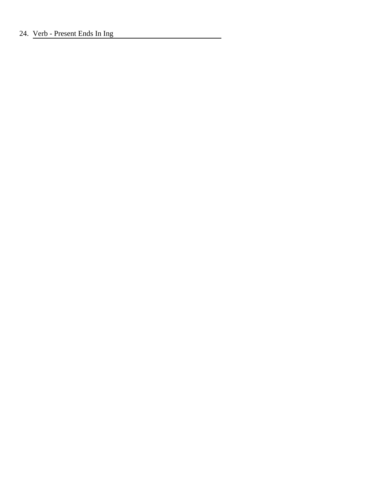## 24. Verb - Present Ends In Ing